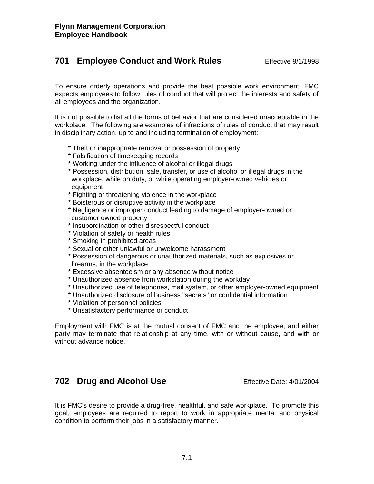# **701 Employee Conduct and Work Rules** Effective 9/1/1998

To ensure orderly operations and provide the best possible work environment, FMC expects employees to follow rules of conduct that will protect the interests and safety of all employees and the organization.

It is not possible to list all the forms of behavior that are considered unacceptable in the workplace. The following are examples of infractions of rules of conduct that may result in disciplinary action, up to and including termination of employment:

- \* Theft or inappropriate removal or possession of property
- \* Falsification of timekeeping records
- \* Working under the influence of alcohol or illegal drugs
- \* Possession, distribution, sale, transfer, or use of alcohol or illegal drugs in the workplace, while on duty, or while operating employer-owned vehicles or equipment
- \* Fighting or threatening violence in the workplace
- \* Boisterous or disruptive activity in the workplace
- \* Negligence or improper conduct leading to damage of employer-owned or customer owned property
- \* Insubordination or other disrespectful conduct
- \* Violation of safety or health rules
- \* Smoking in prohibited areas
- \* Sexual or other unlawful or unwelcome harassment
- \* Possession of dangerous or unauthorized materials, such as explosives or firearms, in the workplace
- \* Excessive absenteeism or any absence without notice
- \* Unauthorized absence from workstation during the workday
- \* Unauthorized use of telephones, mail system, or other employer-owned equipment
- \* Unauthorized disclosure of business "secrets" or confidential information
- \* Violation of personnel policies
- \* Unsatisfactory performance or conduct

Employment with FMC is at the mutual consent of FMC and the employee, and either party may terminate that relationship at any time, with or without cause, and with or without advance notice.

# **702 Drug and Alcohol Use** Effective Date: 4/01/2004

It is FMC's desire to provide a drug-free, healthful, and safe workplace. To promote this goal, employees are required to report to work in appropriate mental and physical condition to perform their jobs in a satisfactory manner.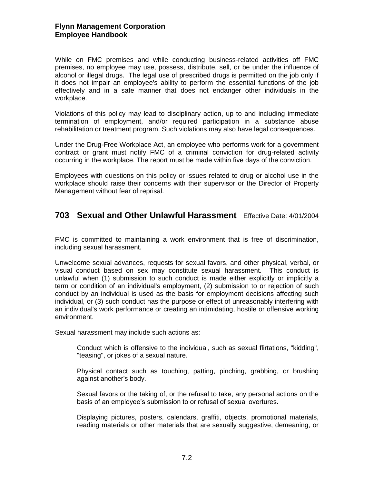#### **Flynn Management Corporation Employee Handbook**

While on FMC premises and while conducting business-related activities off FMC premises, no employee may use, possess, distribute, sell, or be under the influence of alcohol or illegal drugs. The legal use of prescribed drugs is permitted on the job only if it does not impair an employee's ability to perform the essential functions of the job effectively and in a safe manner that does not endanger other individuals in the workplace.

Violations of this policy may lead to disciplinary action, up to and including immediate termination of employment, and/or required participation in a substance abuse rehabilitation or treatment program. Such violations may also have legal consequences.

Under the Drug-Free Workplace Act, an employee who performs work for a government contract or grant must notify FMC of a criminal conviction for drug-related activity occurring in the workplace. The report must be made within five days of the conviction.

Employees with questions on this policy or issues related to drug or alcohol use in the workplace should raise their concerns with their supervisor or the Director of Property Management without fear of reprisal.

# **703 Sexual and Other Unlawful Harassment** Effective Date: 4/01/2004

FMC is committed to maintaining a work environment that is free of discrimination, including sexual harassment.

Unwelcome sexual advances, requests for sexual favors, and other physical, verbal, or visual conduct based on sex may constitute sexual harassment. This conduct is unlawful when (1) submission to such conduct is made either explicitly or implicitly a term or condition of an individual's employment, (2) submission to or rejection of such conduct by an individual is used as the basis for employment decisions affecting such individual, or (3) such conduct has the purpose or effect of unreasonably interfering with an individual's work performance or creating an intimidating, hostile or offensive working environment.

Sexual harassment may include such actions as:

Conduct which is offensive to the individual, such as sexual flirtations, "kidding", "teasing", or jokes of a sexual nature.

Physical contact such as touching, patting, pinching, grabbing, or brushing against another's body.

Sexual favors or the taking of, or the refusal to take, any personal actions on the basis of an employee's submission to or refusal of sexual overtures.

Displaying pictures, posters, calendars, graffiti, objects, promotional materials, reading materials or other materials that are sexually suggestive, demeaning, or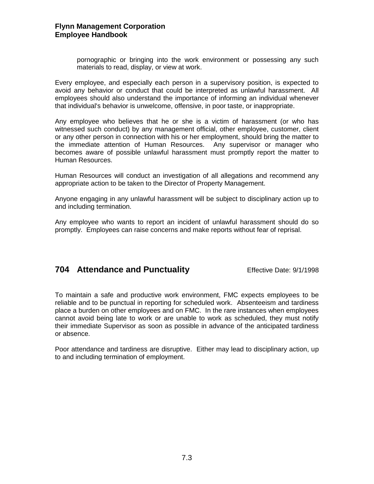#### **Flynn Management Corporation Employee Handbook**

pornographic or bringing into the work environment or possessing any such materials to read, display, or view at work.

Every employee, and especially each person in a supervisory position, is expected to avoid any behavior or conduct that could be interpreted as unlawful harassment. All employees should also understand the importance of informing an individual whenever that individual's behavior is unwelcome, offensive, in poor taste, or inappropriate.

Any employee who believes that he or she is a victim of harassment (or who has witnessed such conduct) by any management official, other employee, customer, client or any other person in connection with his or her employment, should bring the matter to the immediate attention of Human Resources. Any supervisor or manager who becomes aware of possible unlawful harassment must promptly report the matter to Human Resources.

Human Resources will conduct an investigation of all allegations and recommend any appropriate action to be taken to the Director of Property Management.

Anyone engaging in any unlawful harassment will be subject to disciplinary action up to and including termination.

Any employee who wants to report an incident of unlawful harassment should do so promptly. Employees can raise concerns and make reports without fear of reprisal.

# **704 Attendance and Punctuality** Effective Date: 9/1/1998

To maintain a safe and productive work environment, FMC expects employees to be reliable and to be punctual in reporting for scheduled work. Absenteeism and tardiness place a burden on other employees and on FMC. In the rare instances when employees cannot avoid being late to work or are unable to work as scheduled, they must notify their immediate Supervisor as soon as possible in advance of the anticipated tardiness or absence.

Poor attendance and tardiness are disruptive. Either may lead to disciplinary action, up to and including termination of employment.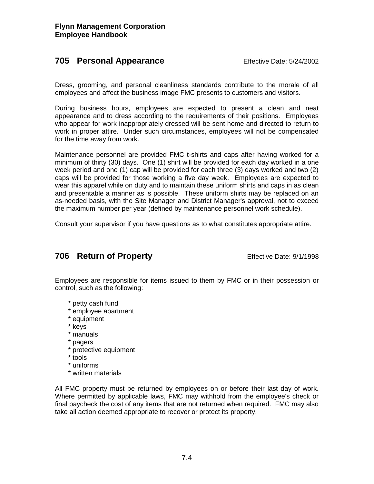# **705 Personal Appearance** Effective Date: 5/24/2002

Dress, grooming, and personal cleanliness standards contribute to the morale of all employees and affect the business image FMC presents to customers and visitors.

During business hours, employees are expected to present a clean and neat appearance and to dress according to the requirements of their positions. Employees who appear for work inappropriately dressed will be sent home and directed to return to work in proper attire. Under such circumstances, employees will not be compensated for the time away from work.

Maintenance personnel are provided FMC t-shirts and caps after having worked for a minimum of thirty (30) days. One (1) shirt will be provided for each day worked in a one week period and one (1) cap will be provided for each three (3) days worked and two (2) caps will be provided for those working a five day week. Employees are expected to wear this apparel while on duty and to maintain these uniform shirts and caps in as clean and presentable a manner as is possible. These uniform shirts may be replaced on an as-needed basis, with the Site Manager and District Manager's approval, not to exceed the maximum number per year (defined by maintenance personnel work schedule).

Consult your supervisor if you have questions as to what constitutes appropriate attire.

# **706 Return of Property** Effective Date: 9/1/1998

Employees are responsible for items issued to them by FMC or in their possession or control, such as the following:

- \* petty cash fund
- \* employee apartment
- \* equipment
- \* keys
- \* manuals
- \* pagers
- \* protective equipment
- \* tools
- \* uniforms
- \* written materials

All FMC property must be returned by employees on or before their last day of work. Where permitted by applicable laws, FMC may withhold from the employee's check or final paycheck the cost of any items that are not returned when required. FMC may also take all action deemed appropriate to recover or protect its property.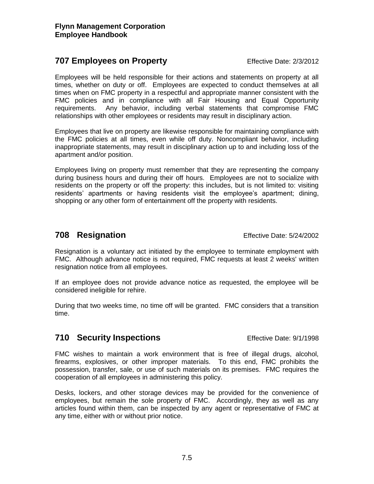## **707 Employees on Property Effective Date: 2/3/2012**

Employees will be held responsible for their actions and statements on property at all times, whether on duty or off. Employees are expected to conduct themselves at all times when on FMC property in a respectful and appropriate manner consistent with the FMC policies and in compliance with all Fair Housing and Equal Opportunity requirements. Any behavior, including verbal statements that compromise FMC relationships with other employees or residents may result in disciplinary action.

Employees that live on property are likewise responsible for maintaining compliance with the FMC policies at all times, even while off duty. Noncompliant behavior, including inappropriate statements, may result in disciplinary action up to and including loss of the apartment and/or position.

Employees living on property must remember that they are representing the company during business hours and during their off hours. Employees are not to socialize with residents on the property or off the property: this includes, but is not limited to: visiting residents' apartments or having residents visit the employee's apartment; dining, shopping or any other form of entertainment off the property with residents.

# **708 Resignation** Effective Date: 5/24/2002

Resignation is a voluntary act initiated by the employee to terminate employment with FMC. Although advance notice is not required, FMC requests at least 2 weeks' written resignation notice from all employees.

If an employee does not provide advance notice as requested, the employee will be considered ineligible for rehire.

During that two weeks time, no time off will be granted. FMC considers that a transition time.

# **710 Security Inspections** Effective Date: 9/1/1998

FMC wishes to maintain a work environment that is free of illegal drugs, alcohol, firearms, explosives, or other improper materials. To this end, FMC prohibits the possession, transfer, sale, or use of such materials on its premises. FMC requires the cooperation of all employees in administering this policy.

Desks, lockers, and other storage devices may be provided for the convenience of employees, but remain the sole property of FMC. Accordingly, they as well as any articles found within them, can be inspected by any agent or representative of FMC at any time, either with or without prior notice.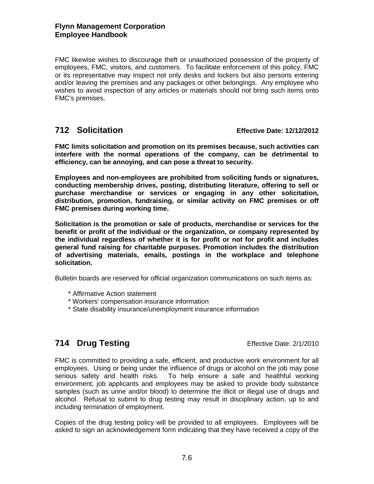#### **Flynn Management Corporation Employee Handbook**

FMC likewise wishes to discourage theft or unauthorized possession of the property of employees, FMC, visitors, and customers. To facilitate enforcement of this policy, FMC or its representative may inspect not only desks and lockers but also persons entering and/or leaving the premises and any packages or other belongings. Any employee who wishes to avoid inspection of any articles or materials should not bring such items onto FMC's premises.

### **712 Solicitation Effective Date: 12/12/2012**

**FMC limits solicitation and promotion on its premises because, such activities can interfere with the normal operations of the company, can be detrimental to efficiency, can be annoying, and can pose a threat to security.**

**Employees and non-employees are prohibited from soliciting funds or signatures, conducting membership drives, posting, distributing literature, offering to sell or purchase merchandise or services or engaging in any other solicitation, distribution, promotion, fundraising, or similar activity on FMC premises or off FMC premises during working time.**

**Solicitation is the promotion or sale of products, merchandise or services for the benefit or profit of the individual or the organization, or company represented by the individual regardless of whether it is for profit or not for profit and includes general fund raising for charitable purposes. Promotion includes the distribution of advertising materials, emails, postings in the workplace and telephone solicitation.**

Bulletin boards are reserved for official organization communications on such items as:

- \* Affirmative Action statement
- \* Workers' compensation insurance information
- \* State disability insurance/unemployment insurance information

# **714 Drug Testing Effective Date: 2/1/2010**

FMC is committed to providing a safe, efficient, and productive work environment for all employees. Using or being under the influence of drugs or alcohol on the job may pose serious safety and health risks. To help ensure a safe and healthful working environment, job applicants and employees may be asked to provide body substance samples (such as urine and/or blood) to determine the illicit or illegal use of drugs and alcohol. Refusal to submit to drug testing may result in disciplinary action, up to and including termination of employment.

Copies of the drug testing policy will be provided to all employees. Employees will be asked to sign an acknowledgement form indicating that they have received a copy of the